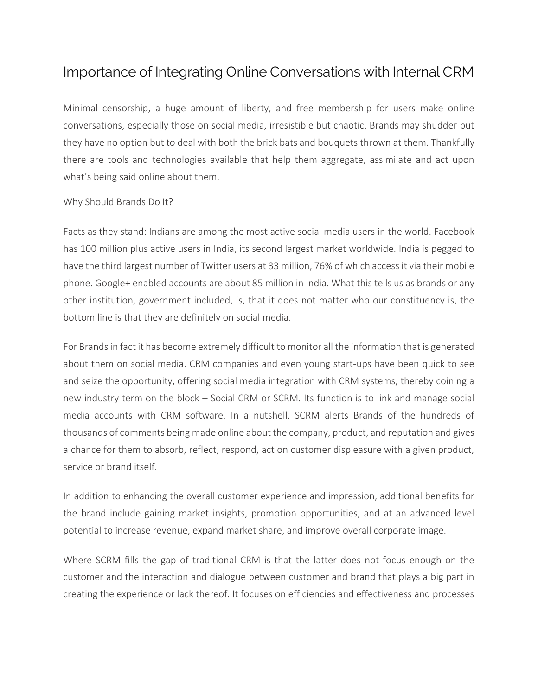## Importance of Integrating Online Conversations with Internal CRM

Minimal censorship, a huge amount of liberty, and free membership for users make online conversations, especially those on social media, irresistible but chaotic. Brands may shudder but they have no option but to deal with both the brick bats and bouquets thrown at them. Thankfully there are tools and technologies available that help them aggregate, assimilate and act upon what's being said online about them.

## Why Should Brands Do It?

Facts as they stand: Indians are among the most active social media users in the world. Facebook has 100 million plus active users in India, its second largest market worldwide. India is pegged to have the third largest number of Twitter users at 33 million, 76% of which access it via their mobile phone. Google+ enabled accounts are about 85 million in India. What this tells us as brands or any other institution, government included, is, that it does not matter who our constituency is, the bottom line is that they are definitely on social media.

For Brands in fact it has become extremely difficult to monitor all the information that is generated about them on social media. CRM companies and even young start-ups have been quick to see and seize the opportunity, offering social media integration with CRM systems, thereby coining a new industry term on the block – Social CRM or SCRM. Its function is to link and manage social media accounts with CRM software. In a nutshell, SCRM alerts Brands of the hundreds of thousands of comments being made online about the company, product, and reputation and gives a chance for them to absorb, reflect, respond, act on customer displeasure with a given product, service or brand itself.

In addition to enhancing the overall customer experience and impression, additional benefits for the brand include gaining market insights, promotion opportunities, and at an advanced level potential to increase revenue, expand market share, and improve overall corporate image.

Where SCRM fills the gap of traditional CRM is that the latter does not focus enough on the customer and the interaction and dialogue between customer and brand that plays a big part in creating the experience or lack thereof. It focuses on efficiencies and effectiveness and processes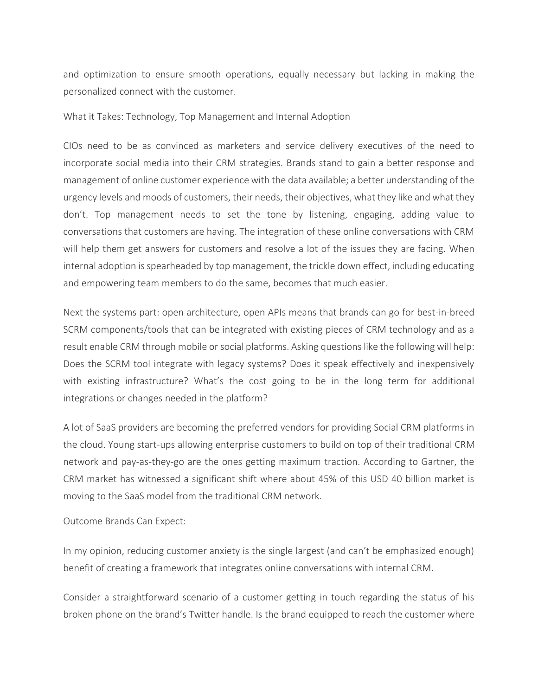and optimization to ensure smooth operations, equally necessary but lacking in making the personalized connect with the customer.

What it Takes: Technology, Top Management and Internal Adoption

CIOs need to be as convinced as marketers and service delivery executives of the need to incorporate social media into their CRM strategies. Brands stand to gain a better response and management of online customer experience with the data available; a better understanding of the urgency levels and moods of customers, their needs, their objectives, what they like and what they don't. Top management needs to set the tone by listening, engaging, adding value to conversations that customers are having. The integration of these online conversations with CRM will help them get answers for customers and resolve a lot of the issues they are facing. When internal adoption is spearheaded by top management, the trickle down effect, including educating and empowering team members to do the same, becomes that much easier.

Next the systems part: open architecture, open APIs means that brands can go for best-in-breed SCRM components/tools that can be integrated with existing pieces of CRM technology and as a result enable CRM through mobile or social platforms. Asking questions like the following will help: Does the SCRM tool integrate with legacy systems? Does it speak effectively and inexpensively with existing infrastructure? What's the cost going to be in the long term for additional integrations or changes needed in the platform?

A lot of SaaS providers are becoming the preferred vendors for providing Social CRM platforms in the cloud. Young start-ups allowing enterprise customers to build on top of their traditional CRM network and pay-as-they-go are the ones getting maximum traction. According to Gartner, the CRM market has witnessed a significant shift where about 45% of this USD 40 billion market is moving to the SaaS model from the traditional CRM network.

Outcome Brands Can Expect:

In my opinion, reducing customer anxiety is the single largest (and can't be emphasized enough) benefit of creating a framework that integrates online conversations with internal CRM.

Consider a straightforward scenario of a customer getting in touch regarding the status of his broken phone on the brand's Twitter handle. Is the brand equipped to reach the customer where